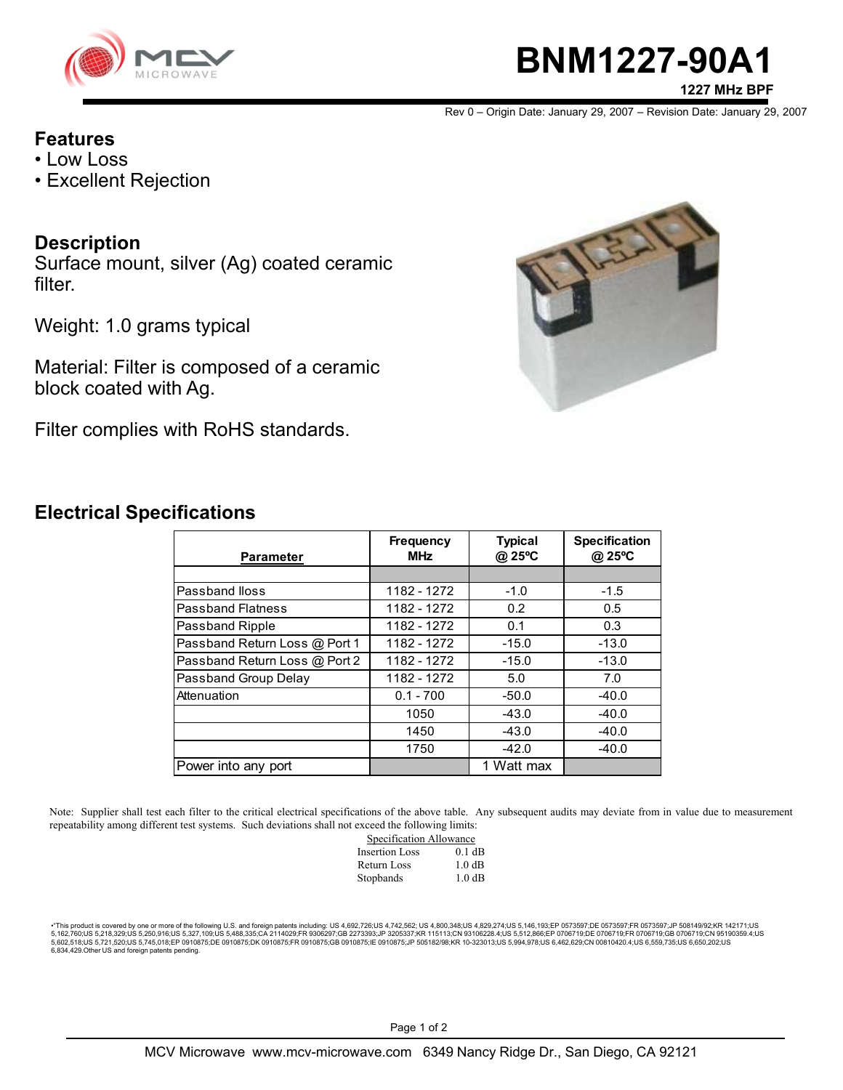

# **BNM1227-90A1**

**1227 MHz BPF**

Rev 0 – Origin Date: January 29, 2007 – Revision Date: January 29, 2007

#### **Features**

- Low Loss
- Excellent Rejection

## **Description**

Surface mount, silver (Ag) coated ceramic filter.

Weight: 1.0 grams typical

Material: Filter is composed of a ceramic block coated with Ag.

Filter complies with RoHS standards.



## **Electrical Specifications**

| <b>Parameter</b>              | <b>Frequency</b><br><b>MHz</b> | <b>Typical</b><br>@ 25°C | <b>Specification</b><br>@ 25°C |
|-------------------------------|--------------------------------|--------------------------|--------------------------------|
|                               |                                |                          |                                |
| Passband Iloss                | 1182 - 1272                    | $-1.0$                   | $-1.5$                         |
| <b>Passband Flatness</b>      | 1182 - 1272                    | 0.2                      | 0.5                            |
| Passband Ripple               | 1182 - 1272                    | 0.1                      | 0.3                            |
| Passband Return Loss @ Port 1 | 1182 - 1272                    | $-15.0$                  | $-13.0$                        |
| Passband Return Loss @ Port 2 | 1182 - 1272                    | $-15.0$                  | $-13.0$                        |
| Passband Group Delay          | 1182 - 1272                    | 5.0                      | 7.0                            |
| Attenuation                   | $0.1 - 700$                    | $-50.0$                  | $-40.0$                        |
|                               | 1050                           | $-43.0$                  | $-40.0$                        |
|                               | 1450                           | $-43.0$                  | $-40.0$                        |
|                               | 1750                           | $-42.0$                  | $-40.0$                        |
| Power into any port           |                                | 1 Watt max               |                                |

Note: Supplier shall test each filter to the critical electrical specifications of the above table. Any subsequent audits may deviate from in value due to measurement repeatability among different test systems. Such deviations shall not exceed the following limits:

| Specification Allowance |          |  |
|-------------------------|----------|--|
| <b>Insertion Loss</b>   | $0.1$ dB |  |
| Return Loss             | 1.0 dB   |  |
| Stopbands               | 1.0 dB   |  |

\*"This product is covered by one or more of the following U.S. and foreign patents including: US 4,692,726;US 4,742,562; US 4,600,348;US 4,829,274;US 5,146,193;EP 0573597;DE 0573597;FR 0573597;JP 508149/92;KR 142171;US<br>5,1 6,834,429.Other US and foreign patents pending.

Page 1 of 2